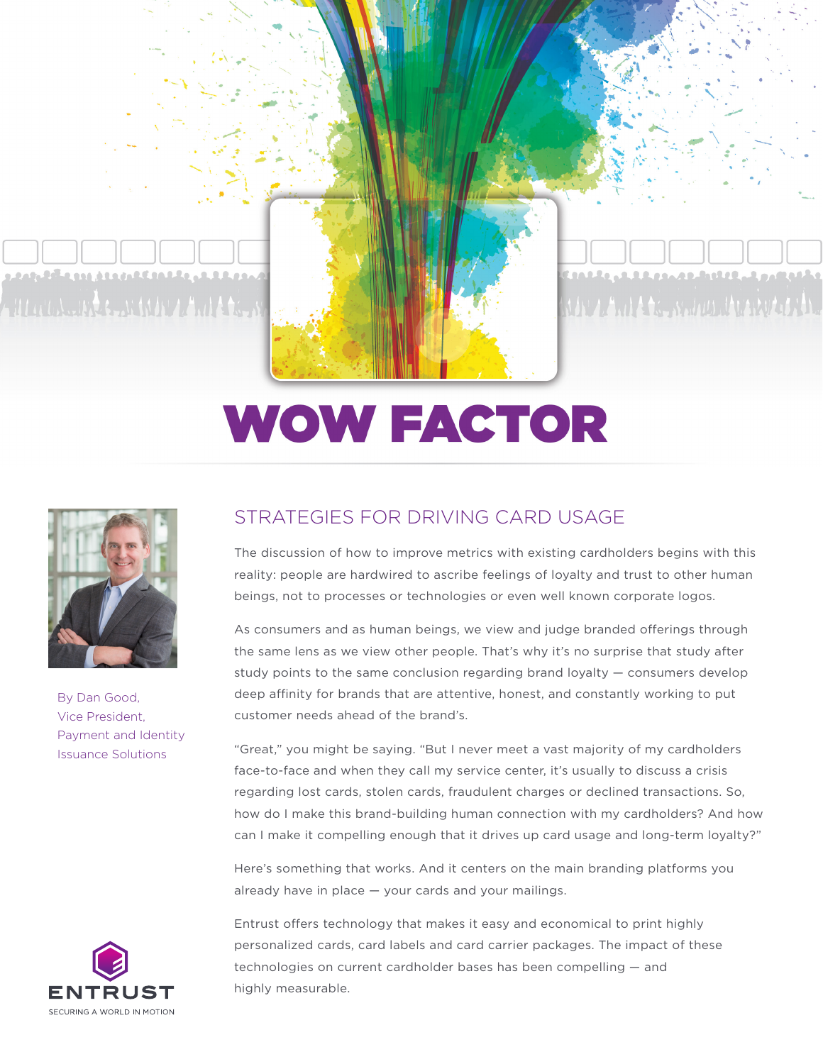

1022102220000220222 Ala bada da a ta a sa an an aithe a baile a bata

## **WOW FACTOR**



By Dan Good, Vice President, Payment and Identity Issuance Solutions

## STRATEGIES FOR DRIVING CARD USAGE

The discussion of how to improve metrics with existing cardholders begins with this reality: people are hardwired to ascribe feelings of loyalty and trust to other human beings, not to processes or technologies or even well known corporate logos.

As consumers and as human beings, we view and judge branded offerings through the same lens as we view other people. That's why it's no surprise that study after study points to the same conclusion regarding brand loyalty — consumers develop deep affinity for brands that are attentive, honest, and constantly working to put customer needs ahead of the brand's.

"Great," you might be saying. "But I never meet a vast majority of my cardholders face-to-face and when they call my service center, it's usually to discuss a crisis regarding lost cards, stolen cards, fraudulent charges or declined transactions. So, how do I make this brand-building human connection with my cardholders? And how can I make it compelling enough that it drives up card usage and long-term loyalty?"

Here's something that works. And it centers on the main branding platforms you already have in place — your cards and your mailings.



Entrust offers technology that makes it easy and economical to print highly personalized cards, card labels and card carrier packages. The impact of these technologies on current cardholder bases has been compelling — and highly measurable.